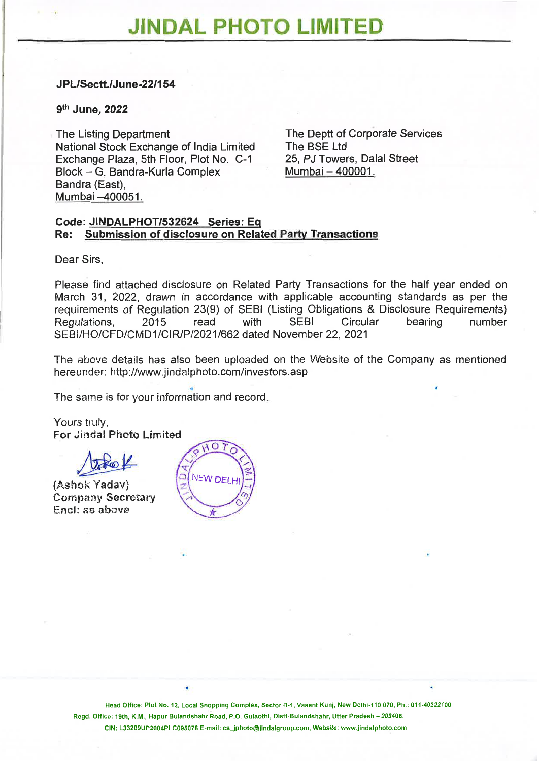### JPL/Sectt./June-22/154

#### 9th June, 2022

The Listing Department National Stock Exchange of India Limited Exchange Plaza, 5th Floor, Plot No. C-1 Block — G, Bandra-Kurla Complex Bandra (East), Mumbai —400051.

The Deptt of Corporate Services The BSE Ltd 25, PJ Towers, Dalal Street Mumbai — 400001.

#### Code: J1NDALPHOT/532624 Series: Eq Re: Submission of disclosure on Related Party Transactions

Dear Sirs,

Please find attached disclosure on Related Party Transactions for the half year ended on March 31, 2022, drawn in accordance with applicable accounting standards as per the requirements of Regulation 23(9) of SEBI (Listing Obligations & Disclosure Requirements)<br>Regulations 2015 read with SEBI Circular bearing number Regulations, 2015 read with SEBI Circular bearing number SEBI/HO/CFD/CMD1/CIR/P/2021/662 dated November 22, 2021

The above details has also been uploaded on the Website of the Company as mentioned hereunder: http://www.jindalphoto.com/investors.asp

The same is for your information and record.

Yours truly, For Jindal Photo Limited

(Ashok Yadav) Company Secretary End: as above



Head Office: Plot No. 12, Local Shopping Complex, Sector B-1, Vasant Kunj, New Delhi-110 070, Ph.: 011-40322100 Regd. Office: 19th, K.M., Hapur Bulandshahr Road, P.O. Gulaothi, Distt-Bulandshahr, Utter Pradesh — 203408. CIN: L33209UP2004PLC095076 E-mail: cs\_jphoto@jindalgroup.com, Website: www.jindalphoto.com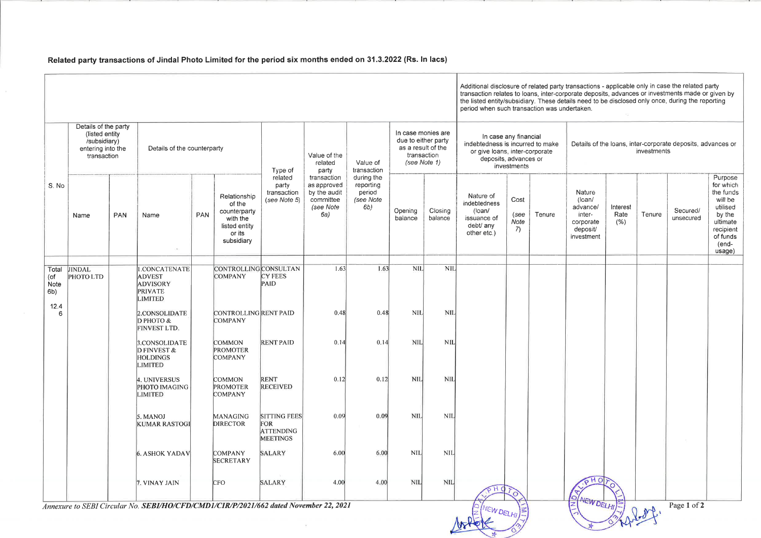## Related party transactions of Jindal Photo Limited for the period six months ended on 31.3.2022 (Rs. In lacs)

Additional disclosure of related party transactions - applicable only in case the related party transaction relates to loans, inter-corporate deposits, advances or investments made or given by ineed to be disclosed only once, during the reporting taken.

# Details of the loans, inter-corporate deposits, advances or investments **Nature** (loan/ advance/ intercorporate deposit/ investment Interest Rate  $(% )$ Tenure Secured/ unsecured Purpose for which the funds will be utilised by the ultimate recipient of funds (endusage)  $PHO$  $\circ$ **NEW DELHI**  $\sqrt{2}$ Page 1 of 2

|                           |                                                                                            |            |                                                                      |            |                                                                                             |                                                                          |                                                                             |                                                       |                                                                                                | Additional disclosure of related party tran<br>transaction relates to loans, inter-corpora<br>the listed entity/subsidiary. These details<br>period when such transaction was undert |                                                                                                                                     |                            |        |               |
|---------------------------|--------------------------------------------------------------------------------------------|------------|----------------------------------------------------------------------|------------|---------------------------------------------------------------------------------------------|--------------------------------------------------------------------------|-----------------------------------------------------------------------------|-------------------------------------------------------|------------------------------------------------------------------------------------------------|--------------------------------------------------------------------------------------------------------------------------------------------------------------------------------------|-------------------------------------------------------------------------------------------------------------------------------------|----------------------------|--------|---------------|
| S. No                     | Details of the party<br>(listed entity<br>/subsidiary)<br>entering into the<br>transaction |            | Details of the counterparty                                          |            |                                                                                             | Type of                                                                  | Value of the<br>related<br>party                                            | Value of<br>transaction                               | In case monies are<br>due to either party<br>as a result of the<br>transaction<br>(see Note 1) |                                                                                                                                                                                      | In case any financial<br>indebtedness is incurred to make<br>or give loans, inter-corporate<br>deposits, advances or<br>investments |                            |        | $\Box$        |
|                           | Name                                                                                       | <b>PAN</b> | Name                                                                 | <b>PAN</b> | Relationship<br>of the<br>counterparty<br>with the<br>listed entity<br>or its<br>subsidiary | related<br>party<br>transaction<br>(see Note 5)                          | transaction<br>as approved<br>by the audit<br>committee<br>(see Note<br>6a) | during the<br>reporting<br>period<br>(see Note<br>6b) | Opening<br>balance                                                                             | Closing<br>balance                                                                                                                                                                   | Nature of<br>indebtedness<br>$($ loan $/$<br>issuance of<br>debt/ any<br>other etc.)                                                | Cost<br>(see<br>Note<br>7) | Tenure | a<br>C)<br>in |
| Total                     | <b>JINDAL</b>                                                                              |            | 1.CONCATENATE                                                        |            | <b>CONTROLLING CONSULTAN</b>                                                                |                                                                          | 1.63                                                                        | 1.63                                                  | <b>NIL</b>                                                                                     | <b>NIL</b>                                                                                                                                                                           |                                                                                                                                     |                            |        |               |
| (of<br><b>Note</b><br>6b) | PHOTO LTD                                                                                  |            | <b>ADVEST</b><br><b>ADVISORY</b><br><b>PRIVATE</b><br><b>LIMITED</b> |            | <b>COMPANY</b>                                                                              | <b>CY FEES</b><br>PAID                                                   |                                                                             |                                                       |                                                                                                |                                                                                                                                                                                      |                                                                                                                                     |                            |        |               |
| 12.4<br>6                 |                                                                                            |            | 2.CONSOLIDATE<br>D PHOTO &<br>FINVEST LTD.                           |            | CONTROLLING RENT PAID<br><b>COMPANY</b>                                                     |                                                                          | 0.48                                                                        | 0.48                                                  | <b>NIL</b>                                                                                     | <b>NIL</b>                                                                                                                                                                           |                                                                                                                                     |                            |        |               |
|                           |                                                                                            |            | 3.CONSOLIDATE<br>D FINVEST &<br><b>HOLDINGS</b><br><b>LIMITED</b>    |            | <b>COMMON</b><br><b>PROMOTER</b><br><b>COMPANY</b>                                          | <b>RENT PAID</b>                                                         | 0.14                                                                        | 0.14                                                  | NIL                                                                                            | <b>NIL</b>                                                                                                                                                                           |                                                                                                                                     |                            |        |               |
|                           |                                                                                            |            | 4. UNIVERSUS<br><b>PHOTO IMAGING</b><br><b>LIMITED</b>               |            | <b>COMMON</b><br><b>PROMOTER</b><br><b>COMPANY</b>                                          | <b>RENT</b><br><b>RECEIVED</b>                                           | 0.12                                                                        | 0.12                                                  | <b>NIL</b>                                                                                     | <b>NIL</b>                                                                                                                                                                           |                                                                                                                                     |                            |        |               |
|                           |                                                                                            |            | 5. MANOJ<br><b>KUMAR RASTOGI</b>                                     |            | MANAGING<br><b>DIRECTOR</b>                                                                 | <b>SITTING FEES</b><br><b>FOR</b><br><b>ATTENDING</b><br><b>MEETINGS</b> | 0.09                                                                        | 0.09                                                  | NIL                                                                                            | <b>NIL</b>                                                                                                                                                                           |                                                                                                                                     |                            |        |               |
|                           |                                                                                            |            | <b>6. ASHOK YADAV</b>                                                |            | <b>COMPANY</b><br><b>SECRETARY</b>                                                          | <b>SALARY</b>                                                            | 6.00                                                                        | 6.00                                                  | <b>NIL</b>                                                                                     | <b>NIL</b>                                                                                                                                                                           |                                                                                                                                     |                            |        |               |
|                           |                                                                                            |            | 7. VINAY JAIN                                                        |            | CFO                                                                                         | <b>SALARY</b>                                                            | 4.00                                                                        | 4.00                                                  | <b>NIL</b>                                                                                     | <b>NIL</b>                                                                                                                                                                           |                                                                                                                                     |                            |        |               |

Annexure to SEBI Circular No. SEBI/HO/CFD/CMD1/CIR/P/2021/662 dated November 22, 2021

DELHI